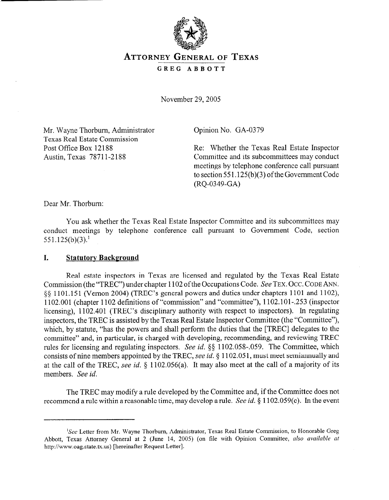

# **ATTORNEY GENERAL OF TEXAS**

## **GREG ABBOTT**

November 29,2005

Mr. Wayne Thorbum, Administrator Texas Real Estate Commission Post Office Box 12188 Austin, Texas 78711-2188

Opinion No. GA-0379

Re: Whether the Texas Real Estate Inspector Committee and its subcommittees may conduct meetings by telephone conference call pursuant to section 551.125(b)(3) of the Government Code (RQ-0349-GA)

Dear Mr. Thorbum:

You ask whether the Texas Real Estate Inspector Committee and its subcommittees may conduct meetings by telephone conference call pursuant to Government Code, section  $551.125(b)(3).<sup>1</sup>$ 

#### **I.** Statutory Background

Real estate inspectors in Texas are licensed and regulated by the Texas Real Estate Commission (the "TREC") under chapter 1102 of the Occupations Code. See TEX. Occ. CODE ANN. 0 9 1101.15 1 (Vernon 2004) (TREC's general powers and duties under chapters 1101 and 1102), 1102.001 (chapter 1102 definitions of "commission" and "committee"), 1102.101-.253 (inspector licensing), 1102.401 (TREC's disciplinary authority with respect to inspectors). In regulating inspectors, the TREC is assisted by the Texas Real Estate Inspector Committee (the "Committee"), which, by statute, "has the powers and shall perform the duties that the [TREC] delegates to the committee" and, in particular, is charged with developing, recommending, and reviewing TREC rules for licensing and regulating inspectors. See *id.* \$5 1102.058-.059. The Committee, which consists of nine members appointed by the TREC, see *id.* § 1102.051, must meet semiannually and at the call of the TREC, see *id.* 5 1102.056(a). It may also meet at the call of a majority of its members. See *id.* 

The TREC may modify a rule developed by the Committee and, if the Committee does not recommend a rule within a reasonable time, may develop a rule. See *id. 6* 1102.059(c). In the event

<sup>&</sup>lt;sup>1</sup>See Letter from Mr. Wayne Thorburn, Administrator, Texas Real Estate Commission, to Honorable Greg Abbott, Texas Attorney General at 2 (June 14, 2005) (on file with Opinion Committee, *also available at*  http://www.oag.state.tx.us) [hereinafter Request Letter].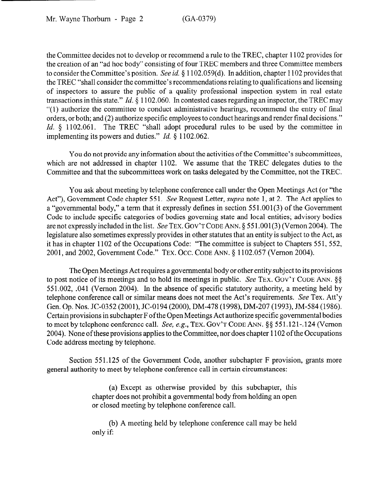the Committee decides not to develop or recommend a rule to the TREC, chapter 1102 provides for the creation of an "ad hoc body" consisting of four TREC members and three Committee members to consider the Committee's position. See id. § 1102.059(d). In addition, chapter 1102 provides that the TREC "shall consider the committee's recommendations relating to qualifications and licensing of inspectors to assure the public of a quality professional inspection system in real estate transactions in this state." *Id.* § 1102.060. In contested cases regarding an inspector, the TREC may "(1) authorize the committee to conduct administrative hearings, recommend the entry of final orders, or both; and (2) authorize specific employees to conduct hearings and render final decisions." *Id.* § 1102.061. The TREC "shall adopt procedural rules to be used by the committee in implementing its powers and duties." *Id.* § 1102.062.

You do not provide any information about the activities of the Committee's subcommittees, which are not addressed in chapter 1102. We assume that the TREC delegates duties to the Committee and that the subcommittees work on tasks delegated by the Committee, not the TREC.

You ask about meeting by telephone conference call under the Open Meetings Act (or "the Act"), Government Code chapter 551. See Request Letter, *supra* note 1, at 2. The Act applies to a "governmental body," a term that it expressly defines in section  $551.001(3)$  of the Government Code to include specific categories of bodies governing state and local entities; advisory bodies are not expressly included in the list. See **TEX. GOV'T CODE ANN.** 5 55 l.OOl(3) (Vernon 2004). The legislature also sometimes expressly provides in other statutes that an entity is subject to the Act, as it has in chapter 1102 of the Occupations Code: "The committee is subject to Chapters 551, 552, 2001, and 2002, Government Code." TEX. Occ. CODE ANN. § 1102.057 (Vernon 2004).

The Open Meetings Act requires a governmental body or other entity subject to its provisions to post notice of its meetings and to hold its meetings in public. See **TEX. GOV'T CODE ANN. \$9**  551.002, .041 (Vernon 2004). In the absence of specific statutory authority, a meeting held by telephone conference call or similar means does not meet the Act's requirements. See Tex. Att'y Gen. Op. Nos. JC-0352 (2001), JC-0194 (2000), DM-478 (1998), DM-207 (1993), JM-584 (1986). Certain provisions in subchapter F of the Open Meetings Act authorize specific governmental bodies to meet by telephone conference call. See, e.g., TEX. GOV'T CODE ANN. §§ 551.121-.124 (Vernon 2004). None ofthese provisions applies to the Committee, nor does chapter 1102 ofthe Occupations Code address meeting by telephone.

Section 551.125 of the Government Code, another subchapter F provision, grants more general authority to meet by telephone conference call in certain circumstances:

> (a) Except as otherwise provided by this subchapter, this chapter does not prohibit a governmental body from holding an open or closed meeting by telephone conference call.

> (b) A meeting held by telephone conference call may be held only if: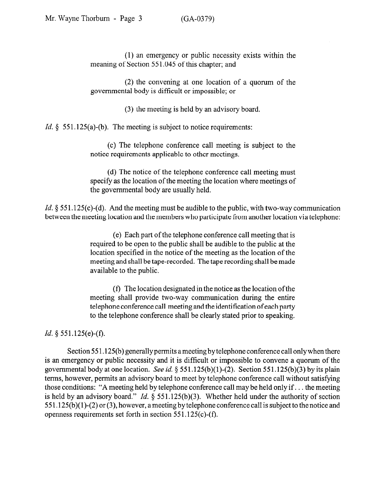(1) an emergency or public necessity exists within the meaning of Section 551.045 of this chapter; and

(2) the convening at one location of a quorum of the governmental body is difficult or impossible; or

(3) the meeting is held by an advisory board.

*Id.*  $\S$  551.125(a)-(b). The meeting is subject to notice requirements:

(c) The telephone conference call meeting is subject to the notice requirements applicable to other meetings.

(d) The notice of the telephone conference call meeting must specify as the location of the meeting the location where meetings of the governmental body are usually held.

*Id.* § 551.125(c)-(d). And the meeting must be audible to the public, with two-way communication between the meeting location and the members who participate from another location via telephone:

> (e) Each part of the telephone conference call meeting that is required to be open to the public shall be audible to the public at the location specified in the notice of the meeting as the location of the meeting and shall be tape-recorded. The tape recording shall be made available to the public.

> (f) The location designated in the notice as the location of the meeting shall provide two-way communication during the entire telephone conference call meeting and the identification of each party to the telephone conference shall be clearly stated prior to speaking.

*Id. 9* 551.125(e)-(f).

Section 551.125(b) generally permits a meeting by telephone conference call only when there is an emergency or public necessity and it is difficult or impossible to convene a quorum of the governmental body at one location. See *id.*  $\S$  551.125(b)(1)-(2). Section 551.125(b)(3) by its plain terms, however, permits an advisory board to meet by telephone conference call without satisfying those conditions: "A meeting held by telephone conference call may be held only if. . . the meeting is held by an advisory board." *Id.* 9 551.125(b)(3). Whether held under the authority of section  $551.125(b)(1)-(2)$  or (3), however, a meeting by telephone conference call is subject to the notice and openness requirements set forth in section  $551.125(c)$ -(f).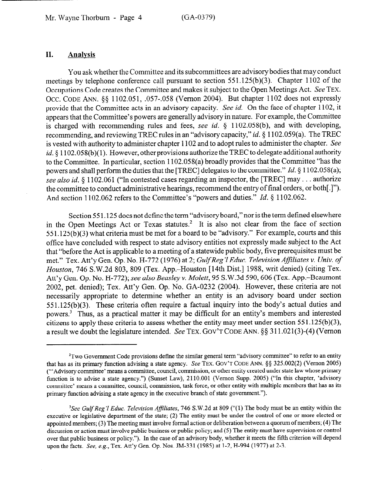### **II. Analysis**

You ask whether the Committee and its subcommittees are advisory bodies that may conduct meetings by telephone conference call pursuant to section 551.125(b)(3). Chapter 1102 of the Occupations Code creates the Committee and makes it subject to the Open Meetings Act. See **TEX.**  OCC. CODE ANN. §§ 1102.051, .057-.058 (Vernon 2004). But chapter 1102 does not expressly provide that the Committee acts in an advisory capacity. See *id.* On the face of chapter 1102, it appears that the Committee's powers are generally advisory in nature. For example, the Committee is charged with recommending rules and fees, see *id.* 5 1102.058(b), and with developing, recommending, and reviewing TREC rules in an "advisory capacity," *id.* § 1102.059(a). The TREC is vested with authority to administer chapter 1102 and to adopt rules to administer the chapter. See id. \$1102.058(b)(1). However, other provisions authorize the TREC to delegate additional authority to the Committee. In particular, section 1102.058(a) broadly provides that the Committee "has the powers and shall perform the duties that the [TREC] delegates to the committee." *Id. 6* 1102.058(a); see also id. § 1102.061 ("In contested cases regarding an inspector, the [TREC] may . . . authorize the committee to conduct administrative hearings, recommend the entry of final orders, or both[ .I"). And section 1102.062 refers to the Committee's "powers and duties." *Id. \$* 1102.062.

Section 551.125 does not define the term "advisory board," nor is the term defined elsewhere in the Open Meetings Act or Texas statutes.<sup>2</sup> It is also not clear from the face of section 55 1.125(b)(3) what criteria must be met for a board to be "advisory." For example, courts and this office have concluded with respect to state advisory entities not expressly made subject to the Act that "before the Act is applicable to a meeting of a statewide public body, five prerequisites must be met." Tex. Att'y Gen. Op. *No.* H-772 (1976) at *2; GulfReg'l Educ. Television Affiliates v. Univ. of Houston, 746* S.W.2d 803, 809 (Tex. App.-Houston [14th Dist.] 1988, writ denied) (citing Tex. Att'y Gen. Op. No. H-772); *see also Beasley v. Molett,* 95 S.W.3d 590,606 (Tex. App.-Beaumont 2002, pet. denied); Tex. Att'y Gen. Op. No. GA-0232 (2004). However, these criteria are not necessarily appropriate to determine whether an entity **is** an advisory board under section 551.125(b)(3). These criteria often require a factual inquiry into the body's actual duties and powers.3 Thus, as a practical matter it may be difficult for an entity's members and interested citizens to apply these criteria to assess whether the entity may meet under section  $551.125(b)(3)$ , a result we doubt the legislature intended. See **TEX. GOV'T CODE ANN.** \$5 3 11.02 l(3)-(4) (Vernon

 $2$ Two Government Code provisions define the similar general term "advisory committee" to refer to an entity that has as its primary function advising a state agency. See **TEX. GOV'T CODE** ANN. \$9 325.002(2) (Vernon 2005) ("'Advisory committee' means a committee, council, commission, or other entity created under state law whose primary function is to advise a state agency.") (Sunset Law), 2110.001 (Vernon Supp. 2005) ("In this chapter, 'advisory committee' means a committee, council, commission, task force, or other entity with multiple members that has as its primary function advising a state agency in the executive branch of state government.").

*<sup>&#</sup>x27;See GulfReg '1 Educ. Television Afiliates,* 746 S.W.2d at 809 ("( 1) The body must be an entity within the executive or legislative department of the state; (2) The entity must be under the control of one or more elected or appointed members; (3) The meeting must involve formal action or deliberation between a quorum of members; (4) The discussion or action must involve public business or public policy; and (5) The entity must have supervision or control over that public business or policy."). In the case of an advisory body, whether it meets the fifth criterion will depend upon the facts. See, e.g., Tex. Att'y Gen. Op. Nos. JM-331 (1985) at 1-2, H-994 (1977) at 2-3.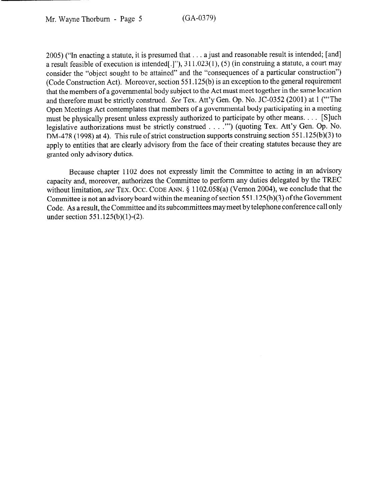2005) ("In enacting a statute, it is presumed that . . . a just and reasonable result is intended; [and] a result feasible of execution is intended[.]"),  $311.023(1)$ , (5) (in construing a statute, a court may consider the "object sought to be attained" and the "consequences of a particular construction") (Code Construction Act). Moreover, section 55 1.125(b) is an exception to the general requirement that the members of a governmental body subject to the Act must meet together in the same location and therefore must be strictly construed. See Tex. Att'y Gen. Op. No. JC-0352 (2001) at 1 ("'The Open Meetings Act contemplates that members of a governmental body participating in a meeting must be physically present unless expressly authorized to participate by other means. . . . [S]uch legislative authorizations must be strictly construed . . . ."") (quoting Tex. Att'y Gen. Op. No. DM-478 (1998) at 4). This rule of strict construction supports construing section 551.125(b)(3) to apply to entities that are clearly advisory from the face of their creating statutes because they are granted only advisory duties.

Because chapter 1102 does not expressly limit the Committee to acting in an advisory capacity and, moreover, authorizes the Committee to perform any duties delegated by the TREC without limitation, see TEX. Occ. CODE ANN. § 1102.058(a) (Vernon 2004), we conclude that the Committee is not an advisory board within the meaning of section 55 1.125(b)(3) of the Government Code. As a result, the Committee and its subcommittees may meet by telephone conference call only under section  $551.125(b)(1)-(2)$ .